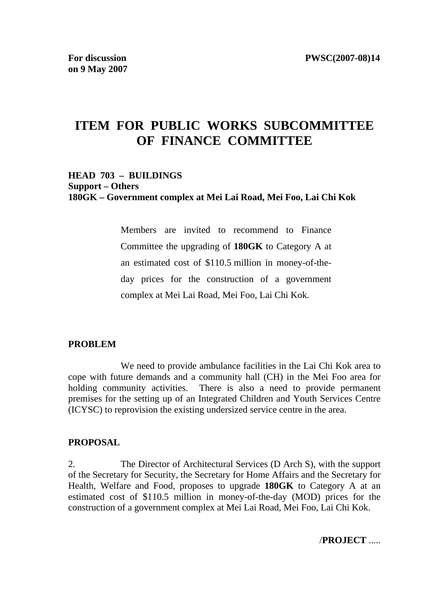# **ITEM FOR PUBLIC WORKS SUBCOMMITTEE OF FINANCE COMMITTEE**

### **HEAD 703 – BUILDINGS Support – Others 180GK – Government complex at Mei Lai Road, Mei Foo, Lai Chi Kok**

Members are invited to recommend to Finance Committee the upgrading of **180GK** to Category A at an estimated cost of \$110.5 million in money-of-theday prices for the construction of a government complex at Mei Lai Road, Mei Foo, Lai Chi Kok.

### **PROBLEM**

 We need to provide ambulance facilities in the Lai Chi Kok area to cope with future demands and a community hall (CH) in the Mei Foo area for holding community activities. There is also a need to provide permanent premises for the setting up of an Integrated Children and Youth Services Centre (ICYSC) to reprovision the existing undersized service centre in the area.

### **PROPOSAL**

2. The Director of Architectural Services (D Arch S), with the support of the Secretary for Security, the Secretary for Home Affairs and the Secretary for Health, Welfare and Food, proposes to upgrade **180GK** to Category A at an estimated cost of \$110.5 million in money-of-the-day (MOD) prices for the construction of a government complex at Mei Lai Road, Mei Foo, Lai Chi Kok.

/**PROJECT** .....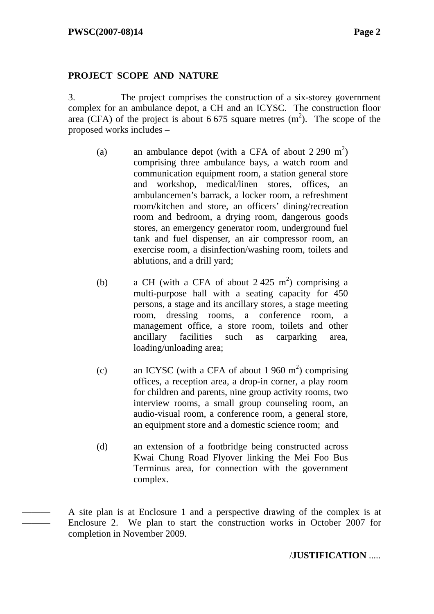——— ———

### **PROJECT SCOPE AND NATURE**

3. The project comprises the construction of a six-storey government complex for an ambulance depot, a CH and an ICYSC. The construction floor area (CFA) of the project is about 6 675 square metres  $(m<sup>2</sup>)$ . The scope of the proposed works includes –

- (a) an ambulance depot (with a CFA of about  $2\,290\,\mathrm{m}^2$ ) comprising three ambulance bays, a watch room and communication equipment room, a station general store and workshop, medical/linen stores, offices, ambulancemen's barrack, a locker room, a refreshment room/kitchen and store, an officers' dining/recreation room and bedroom, a drying room, dangerous goods stores, an emergency generator room, underground fuel tank and fuel dispenser, an air compressor room, an exercise room, a disinfection/washing room, toilets and ablutions, and a drill yard;
- (b) a CH (with a CFA of about  $2.425 \text{ m}^2$ ) comprising a multi-purpose hall with a seating capacity for 450 persons, a stage and its ancillary stores, a stage meeting room, dressing rooms, a conference room, a management office, a store room, toilets and other ancillary facilities such as carparking area, loading/unloading area;
- (c) an ICYSC (with a CFA of about 1 960  $m<sup>2</sup>$ ) comprising offices, a reception area, a drop-in corner, a play room for children and parents, nine group activity rooms, two interview rooms, a small group counseling room, an audio-visual room, a conference room, a general store, an equipment store and a domestic science room; and
- (d) an extension of a footbridge being constructed across Kwai Chung Road Flyover linking the Mei Foo Bus Terminus area, for connection with the government complex.

A site plan is at Enclosure 1 and a perspective drawing of the complex is at Enclosure 2. We plan to start the construction works in October 2007 for completion in November 2009.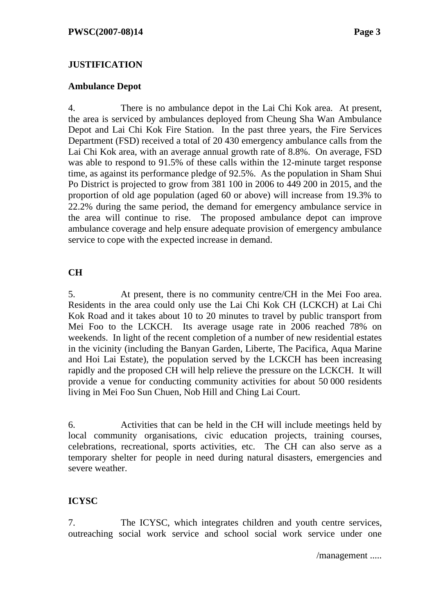## **JUSTIFICATION**

### **Ambulance Depot**

4. There is no ambulance depot in the Lai Chi Kok area. At present, the area is serviced by ambulances deployed from Cheung Sha Wan Ambulance Depot and Lai Chi Kok Fire Station. In the past three years, the Fire Services Department (FSD) received a total of 20 430 emergency ambulance calls from the Lai Chi Kok area, with an average annual growth rate of 8.8%. On average, FSD was able to respond to 91.5% of these calls within the 12-minute target response time, as against its performance pledge of 92.5%. As the population in Sham Shui Po District is projected to grow from 381 100 in 2006 to 449 200 in 2015, and the proportion of old age population (aged 60 or above) will increase from 19.3% to 22.2% during the same period, the demand for emergency ambulance service in the area will continue to rise. The proposed ambulance depot can improve ambulance coverage and help ensure adequate provision of emergency ambulance service to cope with the expected increase in demand.

## **CH**

5. At present, there is no community centre/CH in the Mei Foo area. Residents in the area could only use the Lai Chi Kok CH (LCKCH) at Lai Chi Kok Road and it takes about 10 to 20 minutes to travel by public transport from Mei Foo to the LCKCH. Its average usage rate in 2006 reached 78% on weekends. In light of the recent completion of a number of new residential estates in the vicinity (including the Banyan Garden, Liberte, The Pacifica, Aqua Marine and Hoi Lai Estate), the population served by the LCKCH has been increasing rapidly and the proposed CH will help relieve the pressure on the LCKCH. It will provide a venue for conducting community activities for about 50 000 residents living in Mei Foo Sun Chuen, Nob Hill and Ching Lai Court.

6. Activities that can be held in the CH will include meetings held by local community organisations, civic education projects, training courses, celebrations, recreational, sports activities, etc. The CH can also serve as a temporary shelter for people in need during natural disasters, emergencies and severe weather.

# **ICYSC**

7. The ICYSC, which integrates children and youth centre services, outreaching social work service and school social work service under one

/management .....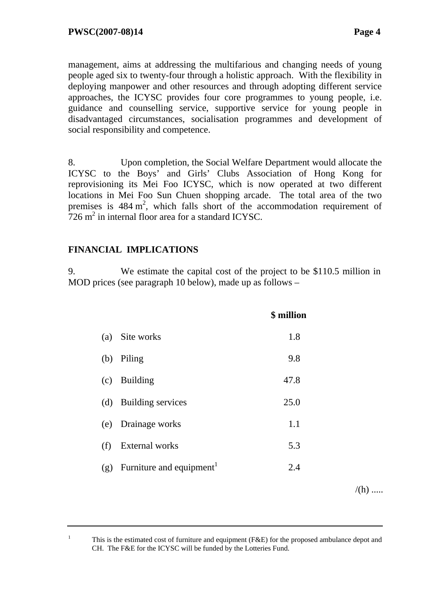management, aims at addressing the multifarious and changing needs of young people aged six to twenty-four through a holistic approach. With the flexibility in deploying manpower and other resources and through adopting different service approaches, the ICYSC provides four core programmes to young people, i.e. guidance and counselling service, supportive service for young people in disadvantaged circumstances, socialisation programmes and development of social responsibility and competence.

8. Upon completion, the Social Welfare Department would allocate the ICYSC to the Boys' and Girls' Clubs Association of Hong Kong for reprovisioning its Mei Foo ICYSC, which is now operated at two different locations in Mei Foo Sun Chuen shopping arcade. The total area of the two premises is  $484 \text{ m}^2$ , which falls short of the accommodation requirement of  $726 \text{ m}^2$  in internal floor area for a standard ICYSC.

# **FINANCIAL IMPLICATIONS**

1

9. We estimate the capital cost of the project to be \$110.5 million in MOD prices (see paragraph 10 below), made up as follows –

|     |                                      | \$ million |
|-----|--------------------------------------|------------|
| (a) | Site works                           | 1.8        |
| (b) | Piling                               | 9.8        |
| (c) | <b>Building</b>                      | 47.8       |
|     | (d) Building services                | 25.0       |
| (e) | Drainage works                       | 1.1        |
| (f) | <b>External works</b>                | 5.3        |
| (g) | Furniture and equipment <sup>1</sup> | 2.4        |
|     |                                      |            |

 $/(h)$  .....

 This is the estimated cost of furniture and equipment (F&E) for the proposed ambulance depot and CH. The F&E for the ICYSC will be funded by the Lotteries Fund.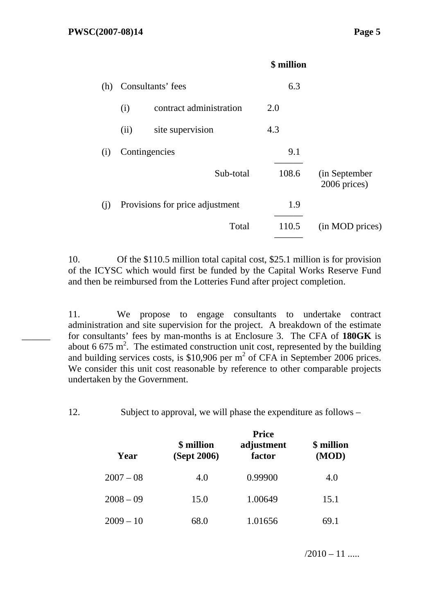$\overline{\phantom{a}}$ 

|     |                   |                                 | \$ million |                               |
|-----|-------------------|---------------------------------|------------|-------------------------------|
| (h) | Consultants' fees |                                 | 6.3        |                               |
|     | (i)               | contract administration         | 2.0        |                               |
|     | (ii)              | site supervision                | 4.3        |                               |
| (i) | Contingencies     |                                 | 9.1        |                               |
|     |                   | Sub-total                       | 108.6      | (in September<br>2006 prices) |
| (i) |                   | Provisions for price adjustment | 1.9        |                               |
|     |                   | Total                           | 110.5      | (in MOD prices)               |
|     |                   |                                 |            |                               |

10. Of the \$110.5 million total capital cost, \$25.1 million is for provision of the ICYSC which would first be funded by the Capital Works Reserve Fund and then be reimbursed from the Lotteries Fund after project completion.

11. We propose to engage consultants to undertake contract administration and site supervision for the project. A breakdown of the estimate for consultants' fees by man-months is at Enclosure 3. The CFA of **180GK** is about 6 675 m<sup>2</sup>. The estimated construction unit cost, represented by the building and building services costs, is \$10,906 per  $m^2$  of CFA in September 2006 prices. We consider this unit cost reasonable by reference to other comparable projects undertaken by the Government.

12. Subject to approval, we will phase the expenditure as follows –

| Year        | \$ million<br>(Sept 2006) | <b>Price</b><br>adjustment<br>factor | \$ million<br>(MOD) |  |
|-------------|---------------------------|--------------------------------------|---------------------|--|
| $2007 - 08$ | 4.0                       | 0.99900                              | 4.0                 |  |
| $2008 - 09$ | 15.0                      | 1.00649                              | 15.1                |  |
| $2009 - 10$ | 68.0                      | 1.01656                              | 69.1                |  |

 $/2010 - 11$  .....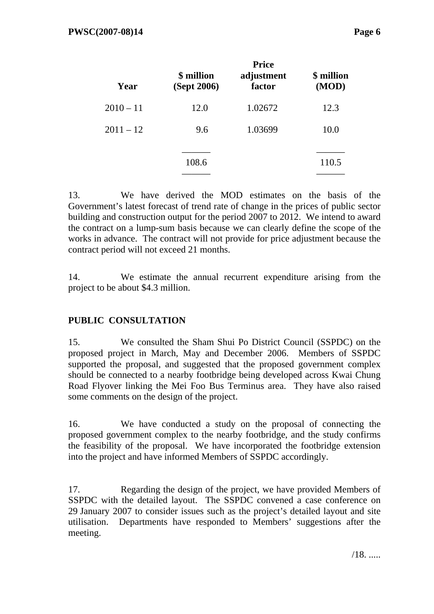| Year        | \$ million<br>(Sept 2006) | <b>Price</b><br>adjustment<br>factor | \$ million<br>(MOD) |
|-------------|---------------------------|--------------------------------------|---------------------|
| $2010 - 11$ | 12.0                      | 1.02672                              | 12.3                |
| $2011 - 12$ | 9.6                       | 1.03699                              | 10.0                |
|             | 108.6                     |                                      | 110.5               |

13. We have derived the MOD estimates on the basis of the Government's latest forecast of trend rate of change in the prices of public sector building and construction output for the period 2007 to 2012. We intend to award the contract on a lump-sum basis because we can clearly define the scope of the works in advance. The contract will not provide for price adjustment because the contract period will not exceed 21 months.

14. We estimate the annual recurrent expenditure arising from the project to be about \$4.3 million.

# **PUBLIC CONSULTATION**

15. We consulted the Sham Shui Po District Council (SSPDC) on the proposed project in March, May and December 2006. Members of SSPDC supported the proposal, and suggested that the proposed government complex should be connected to a nearby footbridge being developed across Kwai Chung Road Flyover linking the Mei Foo Bus Terminus area. They have also raised some comments on the design of the project.

16. We have conducted a study on the proposal of connecting the proposed government complex to the nearby footbridge, and the study confirms the feasibility of the proposal. We have incorporated the footbridge extension into the project and have informed Members of SSPDC accordingly.

17. Regarding the design of the project, we have provided Members of SSPDC with the detailed layout. The SSPDC convened a case conference on 29 January 2007 to consider issues such as the project's detailed layout and site utilisation. Departments have responded to Members' suggestions after the meeting.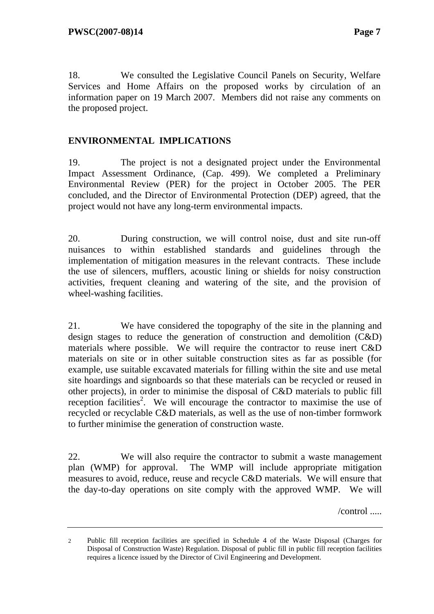18. We consulted the Legislative Council Panels on Security, Welfare Services and Home Affairs on the proposed works by circulation of an information paper on 19 March 2007. Members did not raise any comments on the proposed project.

## **ENVIRONMENTAL IMPLICATIONS**

19. The project is not a designated project under the Environmental Impact Assessment Ordinance, (Cap. 499). We completed a Preliminary Environmental Review (PER) for the project in October 2005. The PER concluded, and the Director of Environmental Protection (DEP) agreed, that the project would not have any long-term environmental impacts.

20. During construction, we will control noise, dust and site run-off nuisances to within established standards and guidelines through the implementation of mitigation measures in the relevant contracts. These include the use of silencers, mufflers, acoustic lining or shields for noisy construction activities, frequent cleaning and watering of the site, and the provision of wheel-washing facilities.

21. We have considered the topography of the site in the planning and design stages to reduce the generation of construction and demolition (C&D) materials where possible. We will require the contractor to reuse inert C&D materials on site or in other suitable construction sites as far as possible (for example, use suitable excavated materials for filling within the site and use metal site hoardings and signboards so that these materials can be recycled or reused in other projects), in order to minimise the disposal of C&D materials to public fill reception facilities<sup>2</sup>. We will encourage the contractor to maximise the use of recycled or recyclable C&D materials, as well as the use of non-timber formwork to further minimise the generation of construction waste.

22. We will also require the contractor to submit a waste management plan (WMP) for approval. The WMP will include appropriate mitigation measures to avoid, reduce, reuse and recycle C&D materials. We will ensure that the day-to-day operations on site comply with the approved WMP. We will

/control .....

<sup>2</sup> Public fill reception facilities are specified in Schedule 4 of the Waste Disposal (Charges for Disposal of Construction Waste) Regulation. Disposal of public fill in public fill reception facilities requires a licence issued by the Director of Civil Engineering and Development.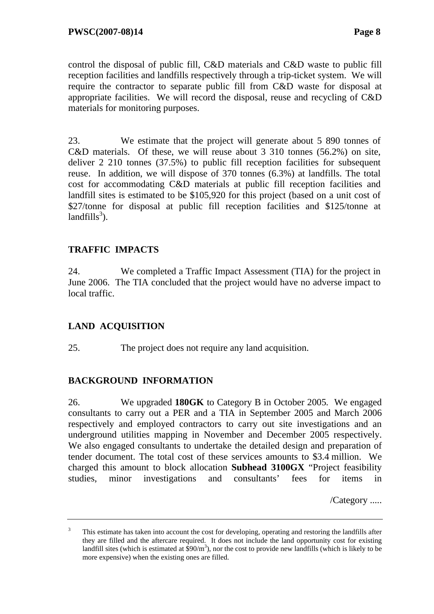control the disposal of public fill, C&D materials and C&D waste to public fill reception facilities and landfills respectively through a trip-ticket system. We will require the contractor to separate public fill from C&D waste for disposal at appropriate facilities. We will record the disposal, reuse and recycling of C&D materials for monitoring purposes.

23. We estimate that the project will generate about 5 890 tonnes of C&D materials. Of these, we will reuse about 3 310 tonnes (56.2%) on site, deliver 2 210 tonnes (37.5%) to public fill reception facilities for subsequent reuse. In addition, we will dispose of 370 tonnes (6.3%) at landfills. The total cost for accommodating C&D materials at public fill reception facilities and landfill sites is estimated to be \$105,920 for this project (based on a unit cost of \$27/tonne for disposal at public fill reception facilities and \$125/tonne at  $landfills<sup>3</sup>)$ .

# **TRAFFIC IMPACTS**

24. We completed a Traffic Impact Assessment (TIA) for the project in June 2006. The TIA concluded that the project would have no adverse impact to local traffic.

# **LAND ACQUISITION**

25. The project does not require any land acquisition.

# **BACKGROUND INFORMATION**

26. We upgraded **180GK** to Category B in October 2005*.* We engaged consultants to carry out a PER and a TIA in September 2005 and March 2006 respectively and employed contractors to carry out site investigations and an underground utilities mapping in November and December 2005 respectively. We also engaged consultants to undertake the detailed design and preparation of tender document. The total cost of these services amounts to \$3.4 million. We charged this amount to block allocation **Subhead 3100GX** "Project feasibility studies, minor investigations and consultants' fees for items in

/Category .....

<sup>3</sup> This estimate has taken into account the cost for developing, operating and restoring the landfills after they are filled and the aftercare required. It does not include the land opportunity cost for existing landfill sites (which is estimated at  $\sinh^3$ ), nor the cost to provide new landfills (which is likely to be more expensive) when the existing ones are filled.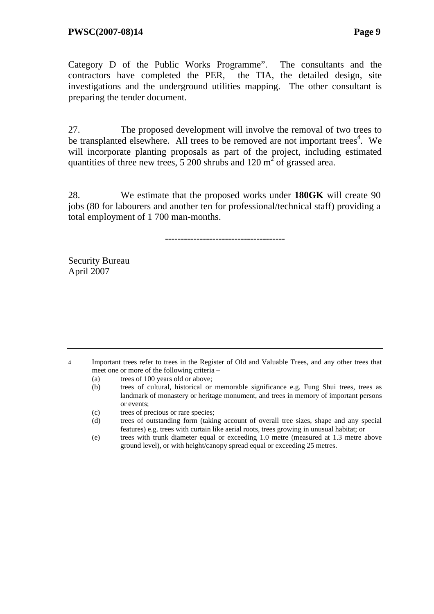Category D of the Public Works Programme". The consultants and the contractors have completed the PER, the TIA, the detailed design, site investigations and the underground utilities mapping. The other consultant is preparing the tender document.

27. The proposed development will involve the removal of two trees to be transplanted elsewhere. All trees to be removed are not important trees<sup>4</sup>. We will incorporate planting proposals as part of the project, including estimated quantities of three new trees,  $5200$  shrubs and  $120 \text{ m}^2$  of grassed area.

28. We estimate that the proposed works under **180GK** will create 90 jobs (80 for labourers and another ten for professional/technical staff) providing a total employment of 1 700 man-months.

--------------------------------------

Security Bureau April 2007

4 Important trees refer to trees in the Register of Old and Valuable Trees, and any other trees that meet one or more of the following criteria –

- (a) trees of 100 years old or above;
- (b) trees of cultural, historical or memorable significance e.g. Fung Shui trees, trees as landmark of monastery or heritage monument, and trees in memory of important persons or events;
- (c) trees of precious or rare species;
- (d) trees of outstanding form (taking account of overall tree sizes, shape and any special features) e.g. trees with curtain like aerial roots, trees growing in unusual habitat; or
- (e) trees with trunk diameter equal or exceeding 1.0 metre (measured at 1.3 metre above ground level), or with height/canopy spread equal or exceeding 25 metres.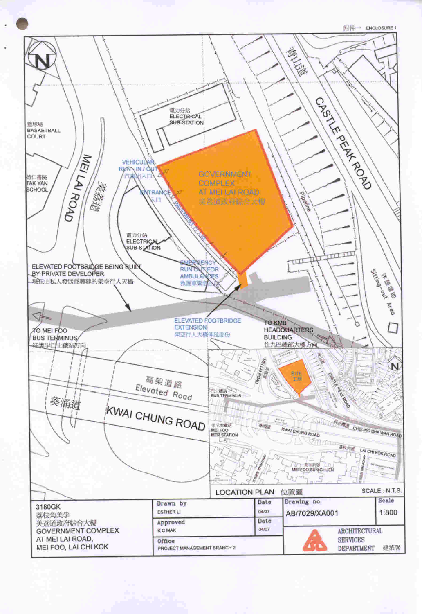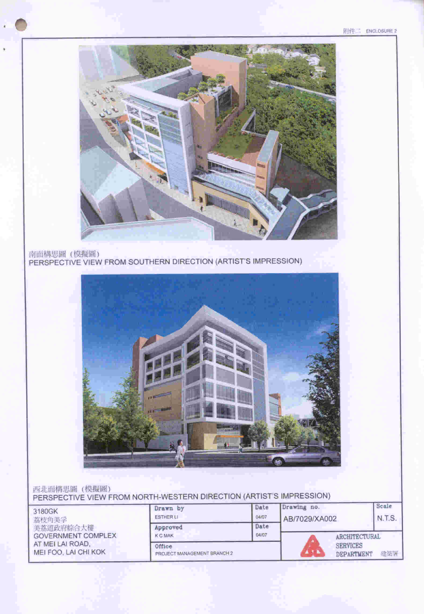南面構思圖 (模擬圖)<br>PERSPECTIVE VIEW FROM SOUTHERN DIRECTION (ARTIST'S IMPRESSION)



### 西北面構思圖 (模擬圖) PERSPECTIVE VIEW FROM NORTH-WESTERN DIRECTION (ARTIST'S IMPRESSION)

| 3180GK<br>荔枝角美孚                          | Drawn by<br><b>ESTHER LI</b>          | Date<br>04/07 | Drawing no.<br>AB/7029/XA002 |                                      | Scale<br>N.T.S. |
|------------------------------------------|---------------------------------------|---------------|------------------------------|--------------------------------------|-----------------|
| 美荔道政府綜合大樓<br><b>GOVERNMENT COMPLEX</b>   | Approved<br><b>K C MAK</b>            | Date<br>04/07 | <b>ARCHITECTURAL</b>         |                                      |                 |
| AT MEI LAI ROAD.<br>MEI FOO, LAI CHI KOK | Office<br>PROJECT MANAGEMENT BRANCH 2 |               |                              | <b>SERVICES</b><br><b>DEPARTMENT</b> | 建装署             |